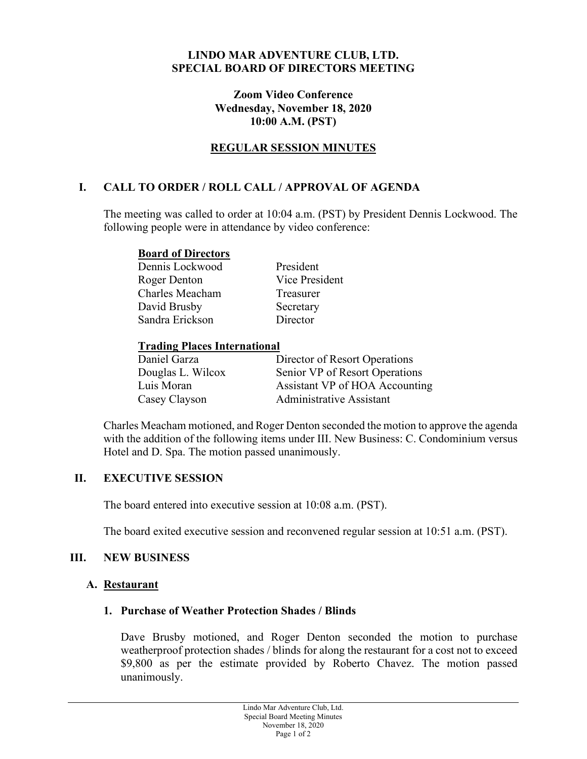#### **LINDO MAR ADVENTURE CLUB, LTD. SPECIAL BOARD OF DIRECTORS MEETING**

#### **Zoom Video Conference Wednesday, November 18, 2020 10:00 A.M. (PST)**

## **REGULAR SESSION MINUTES**

## **I. CALL TO ORDER / ROLL CALL / APPROVAL OF AGENDA**

The meeting was called to order at 10:04 a.m. (PST) by President Dennis Lockwood. The following people were in attendance by video conference:

#### **Board of Directors**

Dennis Lockwood President Roger Denton Vice President Charles Meacham Treasurer David Brusby Secretary Sandra Erickson Director

#### **Trading Places International**

| Daniel Garza      | Director of Resort Operations  |
|-------------------|--------------------------------|
| Douglas L. Wilcox | Senior VP of Resort Operations |
| Luis Moran        | Assistant VP of HOA Accounting |
| Casey Clayson     | Administrative Assistant       |

Charles Meacham motioned, and Roger Denton seconded the motion to approve the agenda with the addition of the following items under III. New Business: C. Condominium versus Hotel and D. Spa. The motion passed unanimously.

#### **II. EXECUTIVE SESSION**

The board entered into executive session at 10:08 a.m. (PST).

The board exited executive session and reconvened regular session at 10:51 a.m. (PST).

#### **III. NEW BUSINESS**

#### **A. Restaurant**

#### **1. Purchase of Weather Protection Shades / Blinds**

Dave Brusby motioned, and Roger Denton seconded the motion to purchase weatherproof protection shades / blinds for along the restaurant for a cost not to exceed \$9,800 as per the estimate provided by Roberto Chavez. The motion passed unanimously.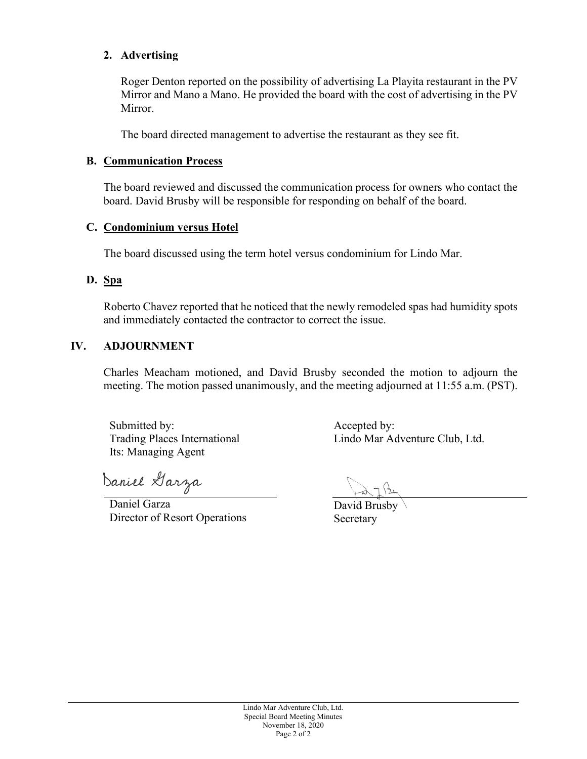#### **2. Advertising**

Roger Denton reported on the possibility of advertising La Playita restaurant in the PV Mirror and Mano a Mano. He provided the board with the cost of advertising in the PV Mirror.

The board directed management to advertise the restaurant as they see fit.

## **B. Communication Process**

The board reviewed and discussed the communication process for owners who contact the board. David Brusby will be responsible for responding on behalf of the board.

## **C. Condominium versus Hotel**

The board discussed using the term hotel versus condominium for Lindo Mar.

## **D. Spa**

Roberto Chavez reported that he noticed that the newly remodeled spas had humidity spots and immediately contacted the contractor to correct the issue.

## **IV. ADJOURNMENT**

Charles Meacham motioned, and David Brusby seconded the motion to adjourn the meeting. The motion passed unanimously, and the meeting adjourned at 11:55 a.m. (PST).

Submitted by: Trading Places International Its: Managing Agent

Daniel Garza

Daniel Garza Director of Resort Operations

Accepted by: Lindo Mar Adventure Club, Ltd.

David Brusby Secretary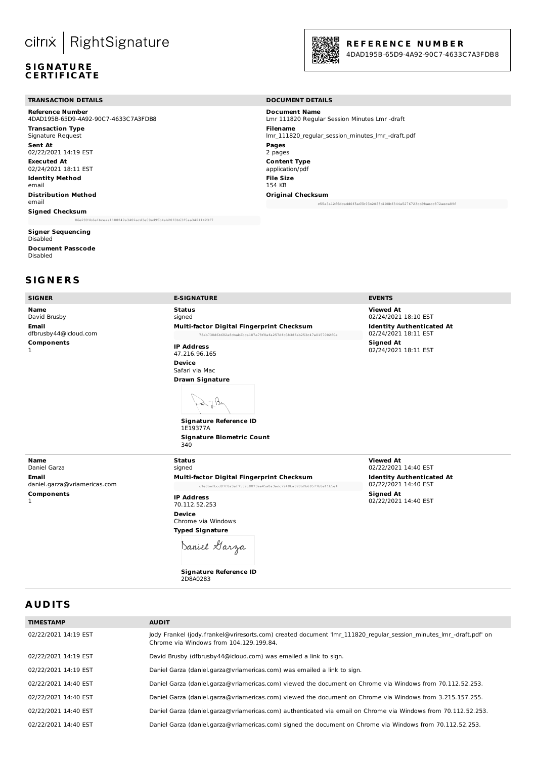# cilrix | RightSignature

#### **S IG N AT U R E C E RT IF I C AT E**

#### **TRANSACTION DETAILS DOCUMENT DETAILS**

**Reference Number** 4DAD195B-65D9-4A92-90C7-4633C7A3FDB8 **Transaction Type** Signature Request **Sent At** 02/22/2021 14:19 EST **Executed At** 02/24/2021 18:11 EST **Identity Method** email **Distribution Method** email **Signed Checksum** 86e2891b6e1bceaa1188249a3402acd3e09ed95b4ab20f0b63f5aa34241423f7

#### **Signer Sequencing** Disabled **Document Passcode**

Disabled

#### **S IG N E R S**

**Name** David Brusby **Email** dfbrusby44@icloud.com **Components** 1

**Status** signed **Multi-factor Digital Fingerprint Checksum** 78ab738d6b682a8cbab2bca187a78f8afa257dfc3838fab253c47a0157002f0a

**IP Address** 47.216.96.165 **Device** Safari via Mac **Drawn Signature**



1E19377A **Signature Biometric Count** 340

**Name** Daniel Garza **Email** daniel.garza@vriamericas.com **Components** 1

**Status**

signed **Multi-factor Digital Fingerprint Checksum** c1e0befbcd87f8a3af7539c8073ae45a0a3adc7948ba390b2b69577b8e11b5e4

**IP Address** 70.112.52.253 **Device** Chrome via Windows **Typed Signature**

Daniel Garza

**Signature Reference ID** 2D8A0283

#### **SIGNER E-SIGNATURE EVENTS**

**Viewed At** 02/24/2021 18:10 EST **Identity Authenticated At** 02/24/2021 18:11 EST **Signed At** 02/24/2021 18:11 EST

**Viewed At** 02/22/2021 14:40 EST **Identity Authenticated At** 02/22/2021 14:40 EST **Signed At** 02/22/2021 14:40 EST

## **A UD ITS**

| <b>AUDIT</b>                                                                                                                                                  |
|---------------------------------------------------------------------------------------------------------------------------------------------------------------|
| Jody Frankel (jody.frankel@vriresorts.com) created document 'Imr 111820 regular session minutes Imr -draft.pdf' on<br>Chrome via Windows from 104.129.199.84. |
| David Brusby (dfbrusby44@icloud.com) was emailed a link to sign.                                                                                              |
| Daniel Garza (daniel.garza@vriamericas.com) was emailed a link to sign.                                                                                       |
| Daniel Garza (daniel.garza@vriamericas.com) viewed the document on Chrome via Windows from 70.112.52.253.                                                     |
| Daniel Garza (daniel.garza@vriamericas.com) viewed the document on Chrome via Windows from 3.215.157.255.                                                     |
| Daniel Garza (daniel.garza@vriamericas.com) authenticated via email on Chrome via Windows from 70.112.52.253.                                                 |
| Daniel Garza (daniel.garza@vriamericas.com) signed the document on Chrome via Windows from 70.112.52.253.                                                     |
|                                                                                                                                                               |



#### **R E F E R E N C E N U M B E R**

4DAD195B -65D9-4A92-90C7-4633C7A3FDB8

**Document Name** Lmr 111820 Regular Session Minutes Lmr -draft **Filename** lmr\_111820\_regular\_session\_minutes\_lmr\_-draft.pdf **Pages** 2 pages **Content Type** application/pdf **File Size** 154 KB **Original Checksum** c55a3a12f6dcadd0f5a65b93b2058d108bf344a5276723cd98aecc872aeca89f